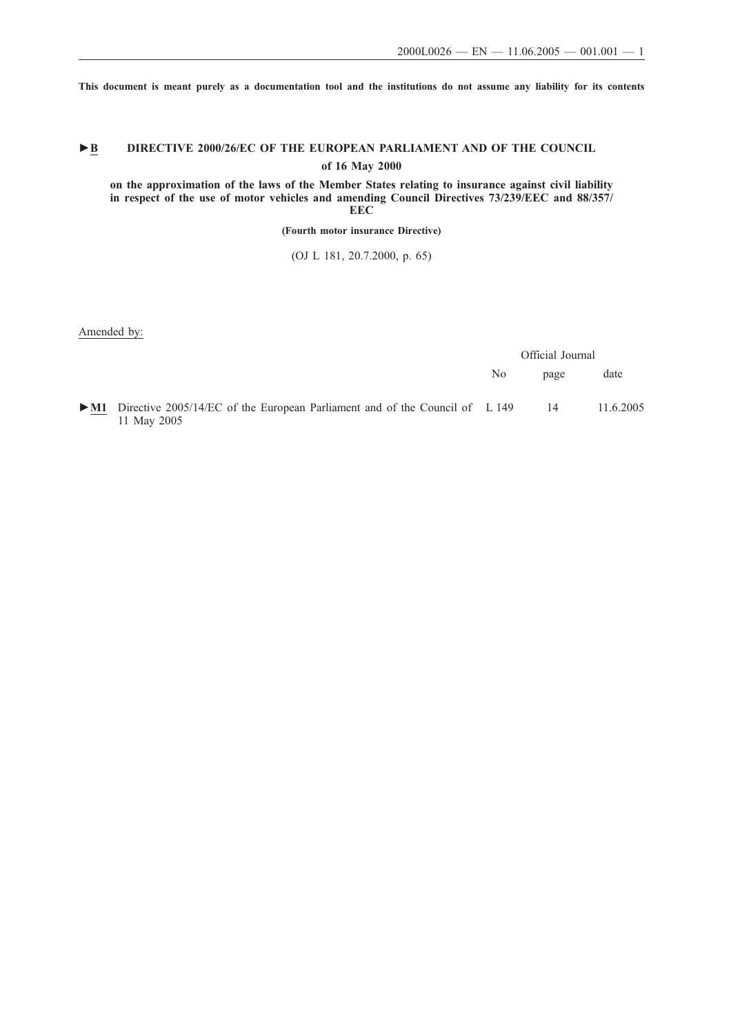**This document is meant purely as a documentation tool and the institutions do not assume any liability for its contents**

# ►**B** DIRECTIVE 2000/26/EC OF THE EUROPEAN PARLIAMENT AND OF THE COUNCIL **of 16 May 2000**

**on the approximation of the laws of the Member States relating to insurance against civil liability in respect of the use of motor vehicles and amending Council Directives 73/239/EEC and 88/357/ EEC**

**(Fourth motor insurance Directive)**

(OJ L 181, 20.7.2000, p. 65)

Amended by:

|                                                                                                                     | Official Journal |      |           |
|---------------------------------------------------------------------------------------------------------------------|------------------|------|-----------|
|                                                                                                                     | No.              | page | date      |
| $\blacktriangleright$ M1 Directive 2005/14/EC of the European Parliament and of the Council of L 149<br>11 May 2005 |                  | - 14 | 11.6.2005 |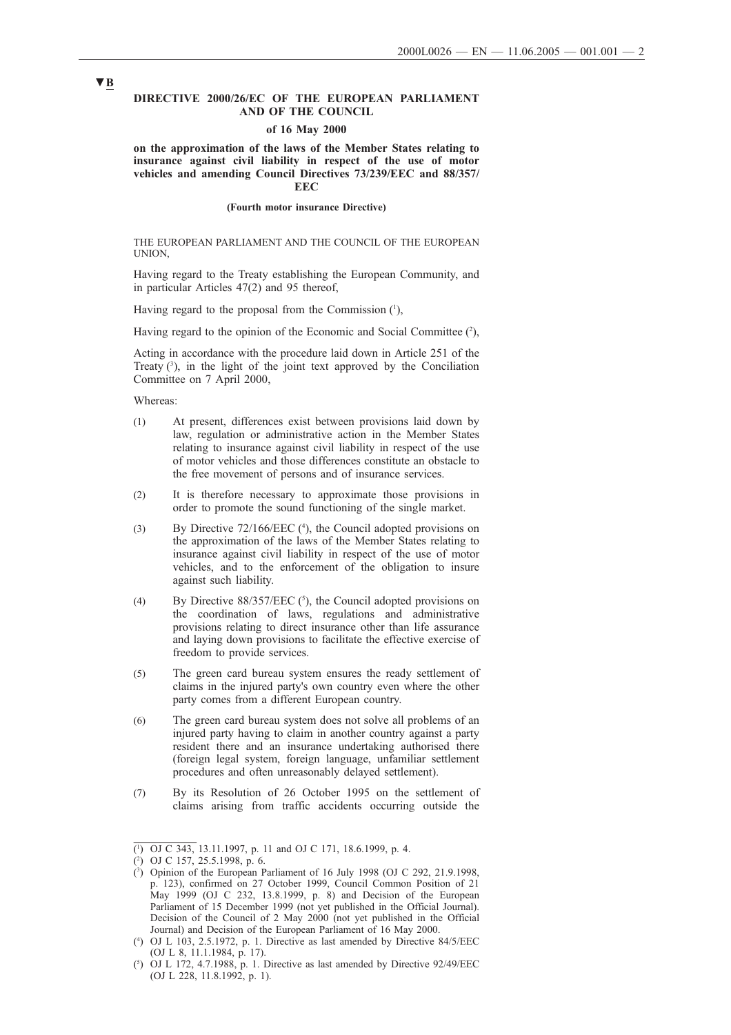### **DIRECTIVE 2000/26/EC OF THE EUROPEAN PARLIAMENT AND OF THE COUNCIL**

#### **of 16 May 2000**

**on the approximation of the laws of the Member States relating to insurance against civil liability in respect of the use of motor vehicles and amending Council Directives 73/239/EEC and 88/357/ EEC**

**(Fourth motor insurance Directive)**

THE EUROPEAN PARLIAMENT AND THE COUNCIL OF THE EUROPEAN UNION,

Having regard to the Treaty establishing the European Community, and in particular Articles 47(2) and 95 thereof,

Having regard to the proposal from the Commission (1),

Having regard to the opinion of the Economic and Social Committee (2),

Acting in accordance with the procedure laid down in Article 251 of the Treaty  $(3)$ , in the light of the joint text approved by the Conciliation Committee on 7 April 2000,

Whereas:

- (1) At present, differences exist between provisions laid down by law, regulation or administrative action in the Member States relating to insurance against civil liability in respect of the use of motor vehicles and those differences constitute an obstacle to the free movement of persons and of insurance services.
- (2) It is therefore necessary to approximate those provisions in order to promote the sound functioning of the single market.
- (3) By Directive 72/166/EEC (4), the Council adopted provisions on the approximation of the laws of the Member States relating to insurance against civil liability in respect of the use of motor vehicles, and to the enforcement of the obligation to insure against such liability.
- (4) By Directive 88/357/EEC (5), the Council adopted provisions on the coordination of laws, regulations and administrative provisions relating to direct insurance other than life assurance and laying down provisions to facilitate the effective exercise of freedom to provide services.
- (5) The green card bureau system ensures the ready settlement of claims in the injured party's own country even where the other party comes from a different European country.
- (6) The green card bureau system does not solve all problems of an injured party having to claim in another country against a party resident there and an insurance undertaking authorised there (foreign legal system, foreign language, unfamiliar settlement procedures and often unreasonably delayed settlement).
- (7) By its Resolution of 26 October 1995 on the settlement of claims arising from traffic accidents occurring outside the

<sup>(</sup> 1 ) OJ C 343, 13.11.1997, p. 11 and OJ C 171, 18.6.1999, p. 4.

<sup>(</sup> 2 ) OJ C 157, 25.5.1998, p. 6.

<sup>(</sup> 3 ) Opinion of the European Parliament of 16 July 1998 (OJ C 292, 21.9.1998, p. 123), confirmed on 27 October 1999, Council Common Position of 21 May 1999 (OJ C 232, 13.8.1999, p. 8) and Decision of the European Parliament of 15 December 1999 (not yet published in the Official Journal). Decision of the Council of 2 May 2000 (not yet published in the Official Journal) and Decision of the European Parliament of 16 May 2000.

<sup>(</sup> 4 ) OJ L 103, 2.5.1972, p. 1. Directive as last amended by Directive 84/5/EEC (OJ L 8, 11.1.1984, p. 17).

<sup>(</sup> 5 ) OJ L 172, 4.7.1988, p. 1. Directive as last amended by Directive 92/49/EEC (OJ L 228, 11.8.1992, p. 1).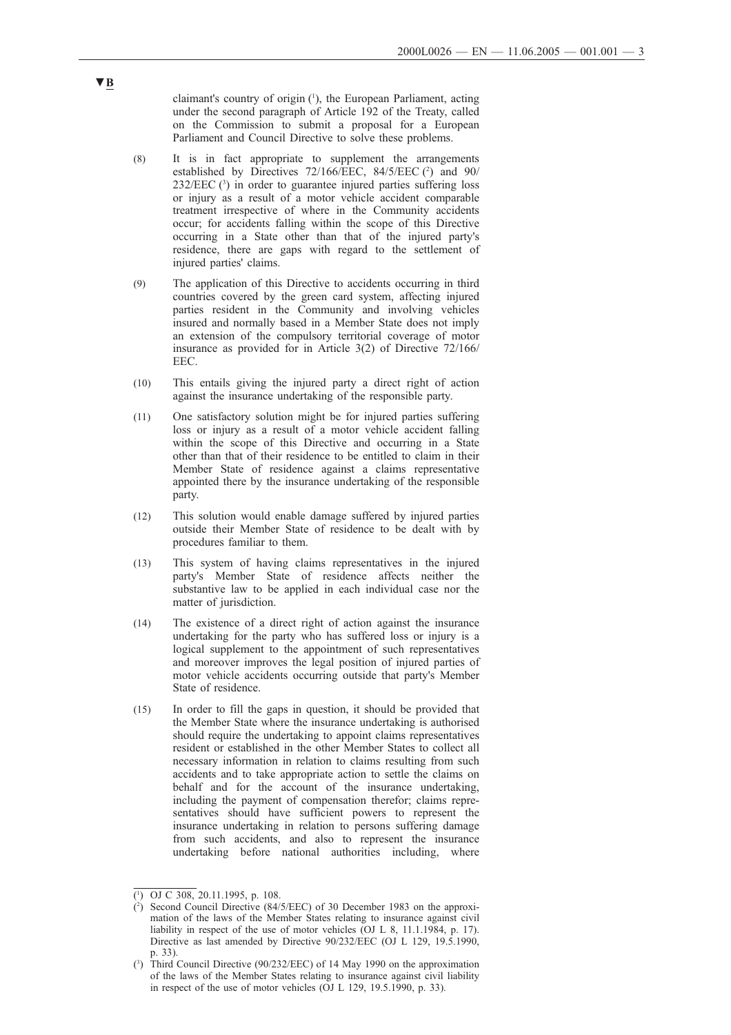claimant's country of origin (1), the European Parliament, acting under the second paragraph of Article 192 of the Treaty, called on the Commission to submit a proposal for a European Parliament and Council Directive to solve these problems.

- (8) It is in fact appropriate to supplement the arrangements established by Directives 72/166/EEC, 84/5/EEC (<sup>2</sup>) and 90/ 232/EEC (3 ) in order to guarantee injured parties suffering loss or injury as a result of a motor vehicle accident comparable treatment irrespective of where in the Community accidents occur; for accidents falling within the scope of this Directive occurring in a State other than that of the injured party's residence, there are gaps with regard to the settlement of injured parties' claims.
- (9) The application of this Directive to accidents occurring in third countries covered by the green card system, affecting injured parties resident in the Community and involving vehicles insured and normally based in a Member State does not imply an extension of the compulsory territorial coverage of motor insurance as provided for in Article 3(2) of Directive 72/166/ EEC.
- (10) This entails giving the injured party a direct right of action against the insurance undertaking of the responsible party.
- (11) One satisfactory solution might be for injured parties suffering loss or injury as a result of a motor vehicle accident falling within the scope of this Directive and occurring in a State other than that of their residence to be entitled to claim in their Member State of residence against a claims representative appointed there by the insurance undertaking of the responsible party.
- (12) This solution would enable damage suffered by injured parties outside their Member State of residence to be dealt with by procedures familiar to them.
- (13) This system of having claims representatives in the injured party's Member State of residence affects neither the substantive law to be applied in each individual case nor the matter of jurisdiction.
- (14) The existence of a direct right of action against the insurance undertaking for the party who has suffered loss or injury is a logical supplement to the appointment of such representatives and moreover improves the legal position of injured parties of motor vehicle accidents occurring outside that party's Member State of residence.
- (15) In order to fill the gaps in question, it should be provided that the Member State where the insurance undertaking is authorised should require the undertaking to appoint claims representatives resident or established in the other Member States to collect all necessary information in relation to claims resulting from such accidents and to take appropriate action to settle the claims on behalf and for the account of the insurance undertaking, including the payment of compensation therefor; claims representatives should have sufficient powers to represent the insurance undertaking in relation to persons suffering damage from such accidents, and also to represent the insurance undertaking before national authorities including, where

<sup>(</sup> 1 ) OJ C 308, 20.11.1995, p. 108.

<sup>(</sup> 2 ) Second Council Directive (84/5/EEC) of 30 December 1983 on the approximation of the laws of the Member States relating to insurance against civil liability in respect of the use of motor vehicles (OJ L 8, 11.1.1984, p. 17). Directive as last amended by Directive 90/232/EEC (OJ L 129, 19.5.1990, p. 33).

<sup>(</sup> 3 ) Third Council Directive (90/232/EEC) of 14 May 1990 on the approximation of the laws of the Member States relating to insurance against civil liability in respect of the use of motor vehicles (OJ L 129, 19.5.1990, p. 33).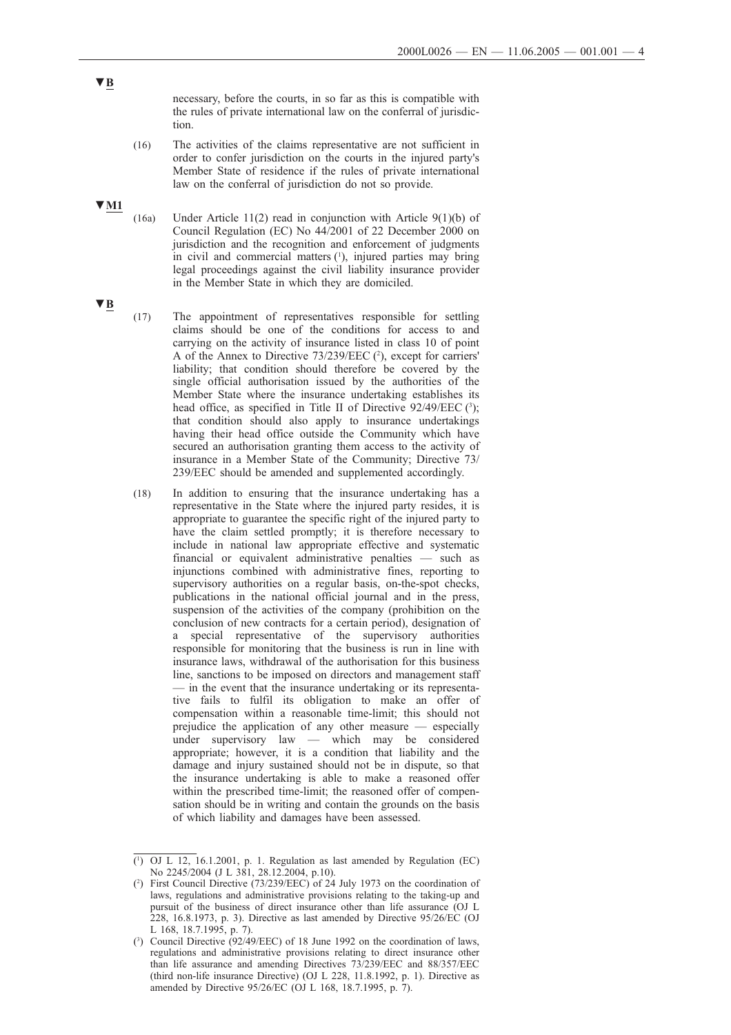necessary, before the courts, in so far as this is compatible with the rules of private international law on the conferral of jurisdiction.

- (16) The activities of the claims representative are not sufficient in order to confer jurisdiction on the courts in the injured party's Member State of residence if the rules of private international law on the conferral of jurisdiction do not so provide.
- (16a) Under Article 11(2) read in conjunction with Article 9(1)(b) of Council Regulation (EC) No 44/2001 of 22 December 2000 on jurisdiction and the recognition and enforcement of judgments in civil and commercial matters (1), injured parties may bring legal proceedings against the civil liability insurance provider in the Member State in which they are domiciled.
- **▼B**

**▼M1**

- (17) The appointment of representatives responsible for settling claims should be one of the conditions for access to and carrying on the activity of insurance listed in class 10 of point A of the Annex to Directive  $73/239/EEC$  (2), except for carriers' liability; that condition should therefore be covered by the single official authorisation issued by the authorities of the Member State where the insurance undertaking establishes its head office, as specified in Title II of Directive 92/49/EEC (3); that condition should also apply to insurance undertakings having their head office outside the Community which have secured an authorisation granting them access to the activity of insurance in a Member State of the Community; Directive 73/ 239/EEC should be amended and supplemented accordingly.
- (18) In addition to ensuring that the insurance undertaking has a representative in the State where the injured party resides, it is appropriate to guarantee the specific right of the injured party to have the claim settled promptly; it is therefore necessary to include in national law appropriate effective and systematic financial or equivalent administrative penalties — such as injunctions combined with administrative fines, reporting to supervisory authorities on a regular basis, on-the-spot checks, publications in the national official journal and in the press, suspension of the activities of the company (prohibition on the conclusion of new contracts for a certain period), designation of a special representative of the supervisory authorities responsible for monitoring that the business is run in line with insurance laws, withdrawal of the authorisation for this business line, sanctions to be imposed on directors and management staff — in the event that the insurance undertaking or its representative fails to fulfil its obligation to make an offer of compensation within a reasonable time-limit; this should not prejudice the application of any other measure — especially under supervisory law — which may be considered appropriate; however, it is a condition that liability and the damage and injury sustained should not be in dispute, so that the insurance undertaking is able to make a reasoned offer within the prescribed time-limit; the reasoned offer of compensation should be in writing and contain the grounds on the basis of which liability and damages have been assessed.

<sup>(</sup> 1 ) OJ L 12, 16.1.2001, p. 1. Regulation as last amended by Regulation (EC) No 2245/2004 (J L 381, 28.12.2004, p.10).

<sup>(</sup> 2 ) First Council Directive (73/239/EEC) of 24 July 1973 on the coordination of laws, regulations and administrative provisions relating to the taking-up and pursuit of the business of direct insurance other than life assurance (OJ L 228, 16.8.1973, p. 3). Directive as last amended by Directive 95/26/EC (OJ L 168, 18.7.1995, p. 7).

<sup>(</sup> 3 ) Council Directive (92/49/EEC) of 18 June 1992 on the coordination of laws, regulations and administrative provisions relating to direct insurance other than life assurance and amending Directives 73/239/EEC and 88/357/EEC (third non-life insurance Directive) (OJ L 228, 11.8.1992, p. 1). Directive as amended by Directive 95/26/EC (OJ L 168, 18.7.1995, p. 7).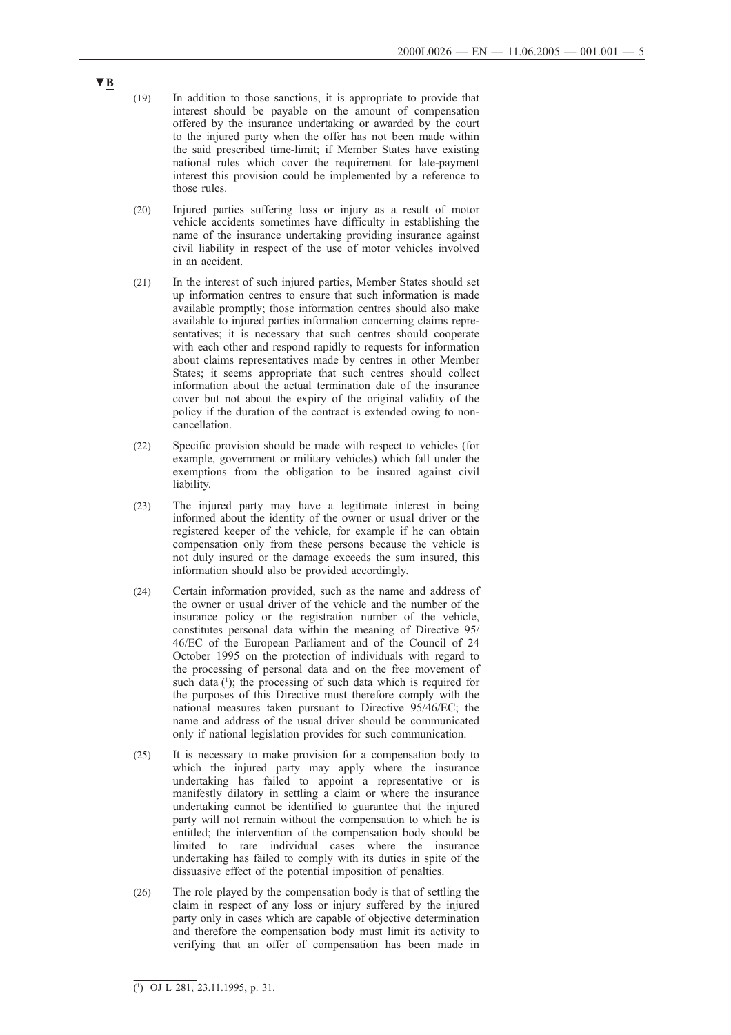- (19) In addition to those sanctions, it is appropriate to provide that interest should be payable on the amount of compensation offered by the insurance undertaking or awarded by the court to the injured party when the offer has not been made within the said prescribed time-limit; if Member States have existing national rules which cover the requirement for late-payment interest this provision could be implemented by a reference to those rules.
- (20) Injured parties suffering loss or injury as a result of motor vehicle accidents sometimes have difficulty in establishing the name of the insurance undertaking providing insurance against civil liability in respect of the use of motor vehicles involved in an accident.
- (21) In the interest of such injured parties, Member States should set up information centres to ensure that such information is made available promptly; those information centres should also make available to injured parties information concerning claims representatives; it is necessary that such centres should cooperate with each other and respond rapidly to requests for information about claims representatives made by centres in other Member States; it seems appropriate that such centres should collect information about the actual termination date of the insurance cover but not about the expiry of the original validity of the policy if the duration of the contract is extended owing to noncancellation.
- (22) Specific provision should be made with respect to vehicles (for example, government or military vehicles) which fall under the exemptions from the obligation to be insured against civil liability.
- (23) The injured party may have a legitimate interest in being informed about the identity of the owner or usual driver or the registered keeper of the vehicle, for example if he can obtain compensation only from these persons because the vehicle is not duly insured or the damage exceeds the sum insured, this information should also be provided accordingly.
- (24) Certain information provided, such as the name and address of the owner or usual driver of the vehicle and the number of the insurance policy or the registration number of the vehicle, constitutes personal data within the meaning of Directive 95/ 46/EC of the European Parliament and of the Council of 24 October 1995 on the protection of individuals with regard to the processing of personal data and on the free movement of such data (1); the processing of such data which is required for the purposes of this Directive must therefore comply with the national measures taken pursuant to Directive 95/46/EC; the name and address of the usual driver should be communicated only if national legislation provides for such communication.
- (25) It is necessary to make provision for a compensation body to which the injured party may apply where the insurance undertaking has failed to appoint a representative or is manifestly dilatory in settling a claim or where the insurance undertaking cannot be identified to guarantee that the injured party will not remain without the compensation to which he is entitled; the intervention of the compensation body should be limited to rare individual cases where the insurance undertaking has failed to comply with its duties in spite of the dissuasive effect of the potential imposition of penalties.
- (26) The role played by the compensation body is that of settling the claim in respect of any loss or injury suffered by the injured party only in cases which are capable of objective determination and therefore the compensation body must limit its activity to verifying that an offer of compensation has been made in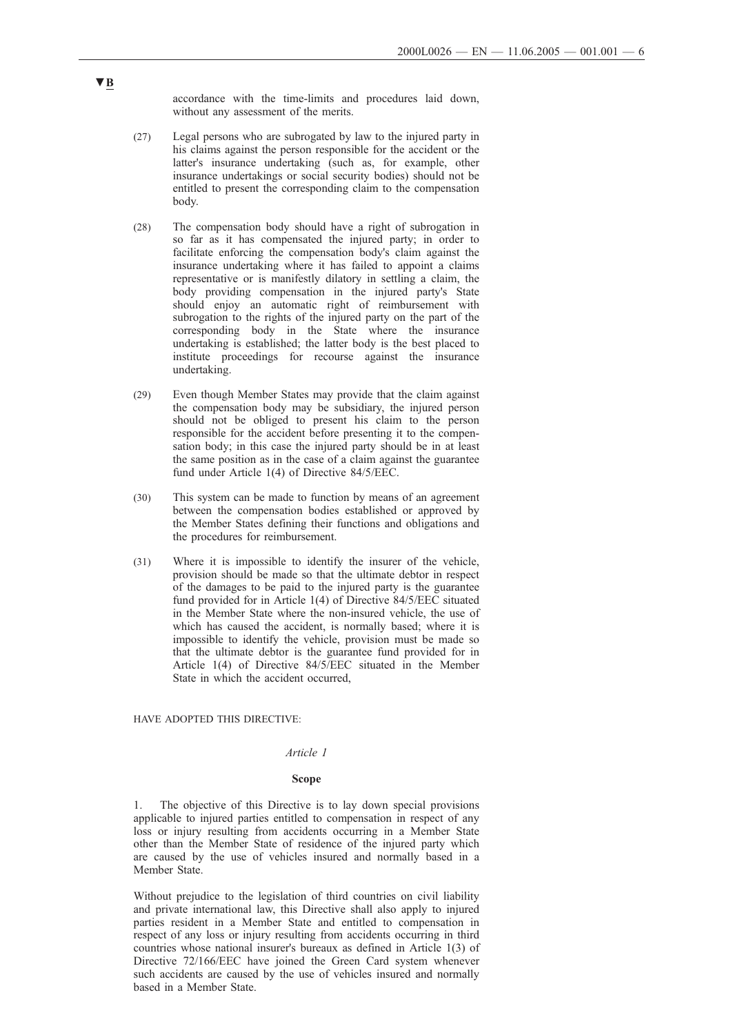accordance with the time-limits and procedures laid down, without any assessment of the merits.

- (27) Legal persons who are subrogated by law to the injured party in his claims against the person responsible for the accident or the latter's insurance undertaking (such as, for example, other insurance undertakings or social security bodies) should not be entitled to present the corresponding claim to the compensation body.
- (28) The compensation body should have a right of subrogation in so far as it has compensated the injured party; in order to facilitate enforcing the compensation body's claim against the insurance undertaking where it has failed to appoint a claims representative or is manifestly dilatory in settling a claim, the body providing compensation in the injured party's State should enjoy an automatic right of reimbursement with subrogation to the rights of the injured party on the part of the corresponding body in the State where the insurance undertaking is established; the latter body is the best placed to institute proceedings for recourse against the insurance undertaking.
- (29) Even though Member States may provide that the claim against the compensation body may be subsidiary, the injured person should not be obliged to present his claim to the person responsible for the accident before presenting it to the compensation body; in this case the injured party should be in at least the same position as in the case of a claim against the guarantee fund under Article 1(4) of Directive 84/5/EEC.
- (30) This system can be made to function by means of an agreement between the compensation bodies established or approved by the Member States defining their functions and obligations and the procedures for reimbursement.
- (31) Where it is impossible to identify the insurer of the vehicle, provision should be made so that the ultimate debtor in respect of the damages to be paid to the injured party is the guarantee fund provided for in Article 1(4) of Directive 84/5/EEC situated in the Member State where the non-insured vehicle, the use of which has caused the accident, is normally based; where it is impossible to identify the vehicle, provision must be made so that the ultimate debtor is the guarantee fund provided for in Article 1(4) of Directive 84/5/EEC situated in the Member State in which the accident occurred,

HAVE ADOPTED THIS DIRECTIVE:

### Article 1

#### **Scope**

1. The objective of this Directive is to lay down special provisions applicable to injured parties entitled to compensation in respect of any loss or injury resulting from accidents occurring in a Member State other than the Member State of residence of the injured party which are caused by the use of vehicles insured and normally based in a Member State.

Without prejudice to the legislation of third countries on civil liability and private international law, this Directive shall also apply to injured parties resident in a Member State and entitled to compensation in respect of any loss or injury resulting from accidents occurring in third countries whose national insurer's bureaux as defined in Article 1(3) of Directive 72/166/EEC have joined the Green Card system whenever such accidents are caused by the use of vehicles insured and normally based in a Member State.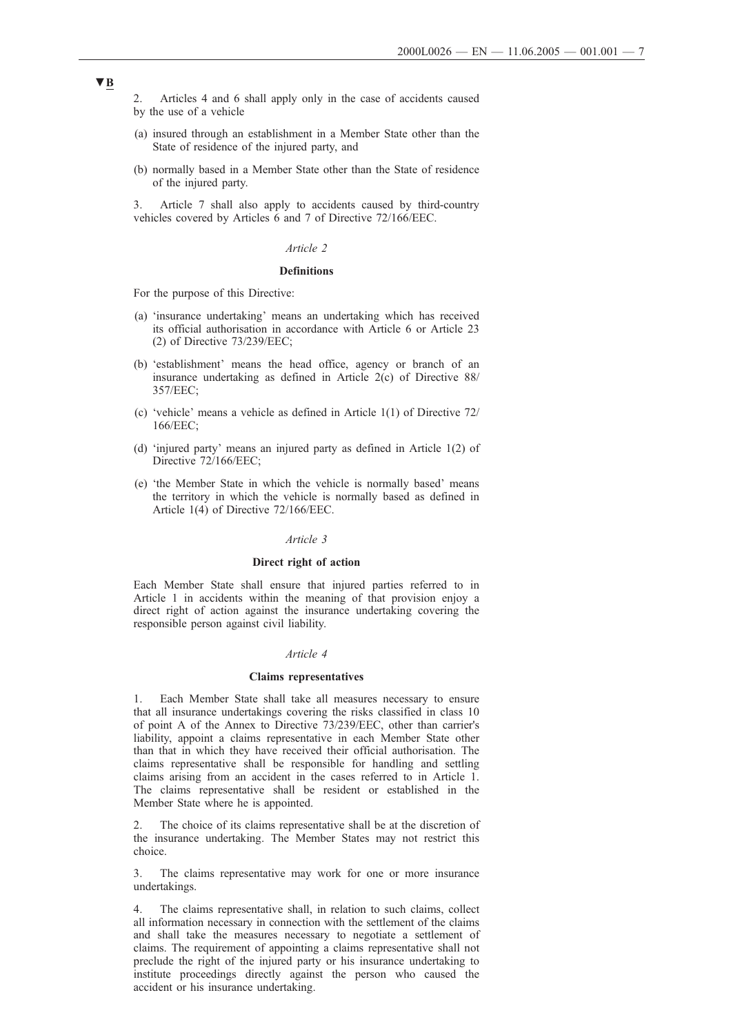2. Articles 4 and 6 shall apply only in the case of accidents caused by the use of a vehicle

- (a) insured through an establishment in a Member State other than the State of residence of the injured party, and
- (b) normally based in a Member State other than the State of residence of the injured party.

3. Article 7 shall also apply to accidents caused by third-country vehicles covered by Articles 6 and 7 of Directive 72/166/EEC.

#### **Definitions**

For the purpose of this Directive:

- (a) 'insurance undertaking' means an undertaking which has received its official authorisation in accordance with Article 6 or Article 23 (2) of Directive 73/239/EEC;
- (b) 'establishment' means the head office, agency or branch of an insurance undertaking as defined in Article 2(c) of Directive 88/ 357/EEC;
- (c) 'vehicle' means a vehicle as defined in Article 1(1) of Directive 72/ 166/EEC;
- (d) 'injured party' means an injured party as defined in Article 1(2) of Directive 72/166/EEC:
- (e) 'the Member State in which the vehicle is normally based' means the territory in which the vehicle is normally based as defined in Article 1(4) of Directive 72/166/EEC.

#### **Direct right of action**

Each Member State shall ensure that injured parties referred to in Article 1 in accidents within the meaning of that provision enjoy a direct right of action against the insurance undertaking covering the responsible person against civil liability.

#### **Claims representatives**

1. Each Member State shall take all measures necessary to ensure that all insurance undertakings covering the risks classified in class 10 of point A of the Annex to Directive 73/239/EEC, other than carrier's liability, appoint a claims representative in each Member State other than that in which they have received their official authorisation. The claims representative shall be responsible for handling and settling claims arising from an accident in the cases referred to in Article 1. The claims representative shall be resident or established in the Member State where he is appointed.

2. The choice of its claims representative shall be at the discretion of the insurance undertaking. The Member States may not restrict this choice.

3. The claims representative may work for one or more insurance undertakings.

4. The claims representative shall, in relation to such claims, collect all information necessary in connection with the settlement of the claims and shall take the measures necessary to negotiate a settlement of claims. The requirement of appointing a claims representative shall not preclude the right of the injured party or his insurance undertaking to institute proceedings directly against the person who caused the accident or his insurance undertaking.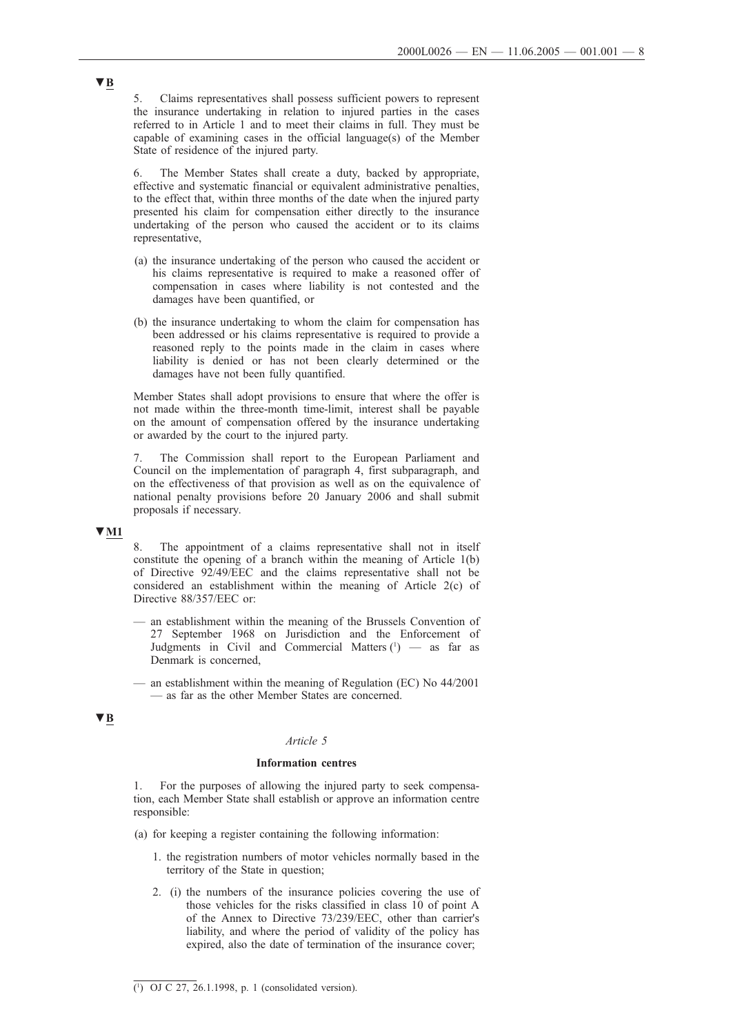5. Claims representatives shall possess sufficient powers to represent the insurance undertaking in relation to injured parties in the cases referred to in Article 1 and to meet their claims in full. They must be capable of examining cases in the official language(s) of the Member State of residence of the injured party.

6. The Member States shall create a duty, backed by appropriate, effective and systematic financial or equivalent administrative penalties, to the effect that, within three months of the date when the injured party presented his claim for compensation either directly to the insurance undertaking of the person who caused the accident or to its claims representative,

- (a) the insurance undertaking of the person who caused the accident or his claims representative is required to make a reasoned offer of compensation in cases where liability is not contested and the damages have been quantified, or
- (b) the insurance undertaking to whom the claim for compensation has been addressed or his claims representative is required to provide a reasoned reply to the points made in the claim in cases where liability is denied or has not been clearly determined or the damages have not been fully quantified.

Member States shall adopt provisions to ensure that where the offer is not made within the three-month time-limit, interest shall be payable on the amount of compensation offered by the insurance undertaking or awarded by the court to the injured party.

7. The Commission shall report to the European Parliament and Council on the implementation of paragraph 4, first subparagraph, and on the effectiveness of that provision as well as on the equivalence of national penalty provisions before 20 January 2006 and shall submit proposals if necessary.

# **▼M1**

8. The appointment of a claims representative shall not in itself constitute the opening of a branch within the meaning of Article 1(b) of Directive 92/49/EEC and the claims representative shall not be considered an establishment within the meaning of Article 2(c) of Directive 88/357/EEC or:

- an establishment within the meaning of the Brussels Convention of 27 September 1968 on Jurisdiction and the Enforcement of Judgments in Civil and Commercial Matters  $(1)$  — as far as Denmark is concerned,
- an establishment within the meaning of Regulation (EC) No 44/2001 — as far as the other Member States are concerned.

# **▼B**

#### $Article 5$

### **Information centres**

1. For the purposes of allowing the injured party to seek compensation, each Member State shall establish or approve an information centre responsible:

(a) for keeping a register containing the following information:

- 1. the registration numbers of motor vehicles normally based in the territory of the State in question;
- 2. (i) the numbers of the insurance policies covering the use of those vehicles for the risks classified in class 10 of point A of the Annex to Directive 73/239/EEC, other than carrier's liability, and where the period of validity of the policy has expired, also the date of termination of the insurance cover;

<sup>(</sup> 1 ) OJ C 27, 26.1.1998, p. 1 (consolidated version).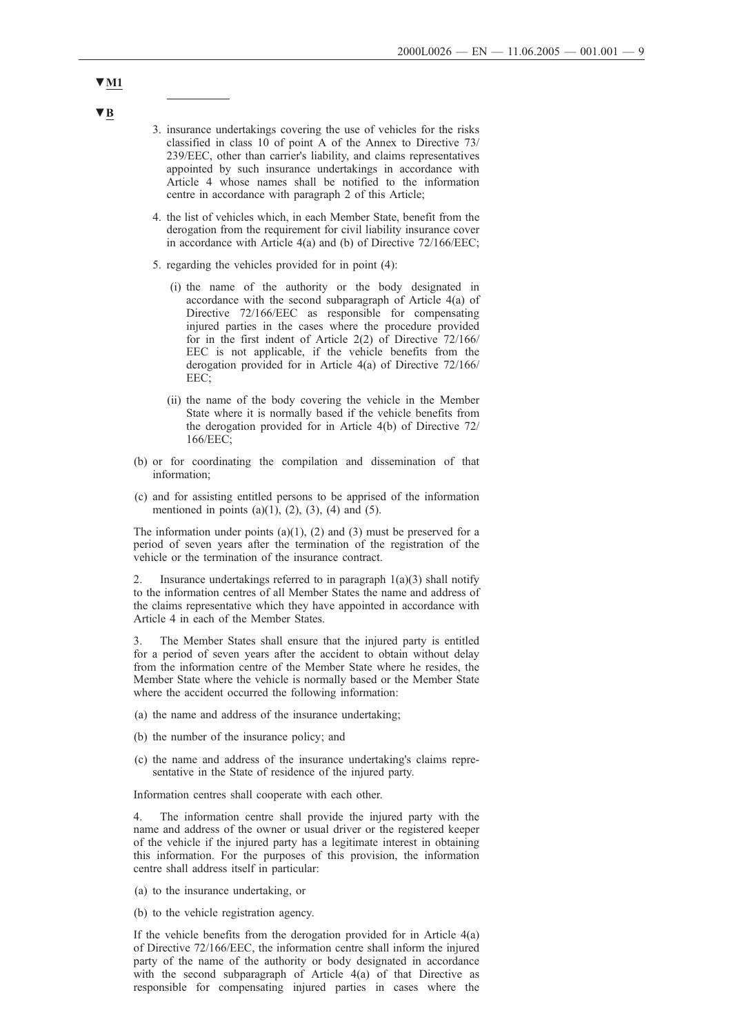- 3. insurance undertakings covering the use of vehicles for the risks classified in class 10 of point A of the Annex to Directive 73/ 239/EEC, other than carrier's liability, and claims representatives appointed by such insurance undertakings in accordance with Article 4 whose names shall be notified to the information centre in accordance with paragraph 2 of this Article;
- 4. the list of vehicles which, in each Member State, benefit from the derogation from the requirement for civil liability insurance cover in accordance with Article 4(a) and (b) of Directive 72/166/EEC;
- 5. regarding the vehicles provided for in point (4):
	- (i) the name of the authority or the body designated in accordance with the second subparagraph of Article 4(a) of Directive 72/166/EEC as responsible for compensating injured parties in the cases where the procedure provided for in the first indent of Article 2(2) of Directive 72/166/ EEC is not applicable, if the vehicle benefits from the derogation provided for in Article 4(a) of Directive 72/166/ EEC;
	- (ii) the name of the body covering the vehicle in the Member State where it is normally based if the vehicle benefits from the derogation provided for in Article 4(b) of Directive 72/ 166/EEC;
- (b) or for coordinating the compilation and dissemination of that information;
- (c) and for assisting entitled persons to be apprised of the information mentioned in points (a)(1), (2), (3), (4) and (5).

The information under points (a)(1), (2) and (3) must be preserved for a period of seven years after the termination of the registration of the vehicle or the termination of the insurance contract.

2. Insurance undertakings referred to in paragraph  $1(a)(3)$  shall notify to the information centres of all Member States the name and address of the claims representative which they have appointed in accordance with Article 4 in each of the Member States.

3. The Member States shall ensure that the injured party is entitled for a period of seven years after the accident to obtain without delay from the information centre of the Member State where he resides, the Member State where the vehicle is normally based or the Member State where the accident occurred the following information:

- (a) the name and address of the insurance undertaking;
- (b) the number of the insurance policy; and
- (c) the name and address of the insurance undertaking's claims representative in the State of residence of the injured party.

Information centres shall cooperate with each other.

4. The information centre shall provide the injured party with the name and address of the owner or usual driver or the registered keeper of the vehicle if the injured party has a legitimate interest in obtaining this information. For the purposes of this provision, the information centre shall address itself in particular:

(a) to the insurance undertaking, or

(b) to the vehicle registration agency.

If the vehicle benefits from the derogation provided for in Article  $4(a)$ of Directive 72/166/EEC, the information centre shall inform the injured party of the name of the authority or body designated in accordance with the second subparagraph of Article 4(a) of that Directive as responsible for compensating injured parties in cases where the

# **▼M1**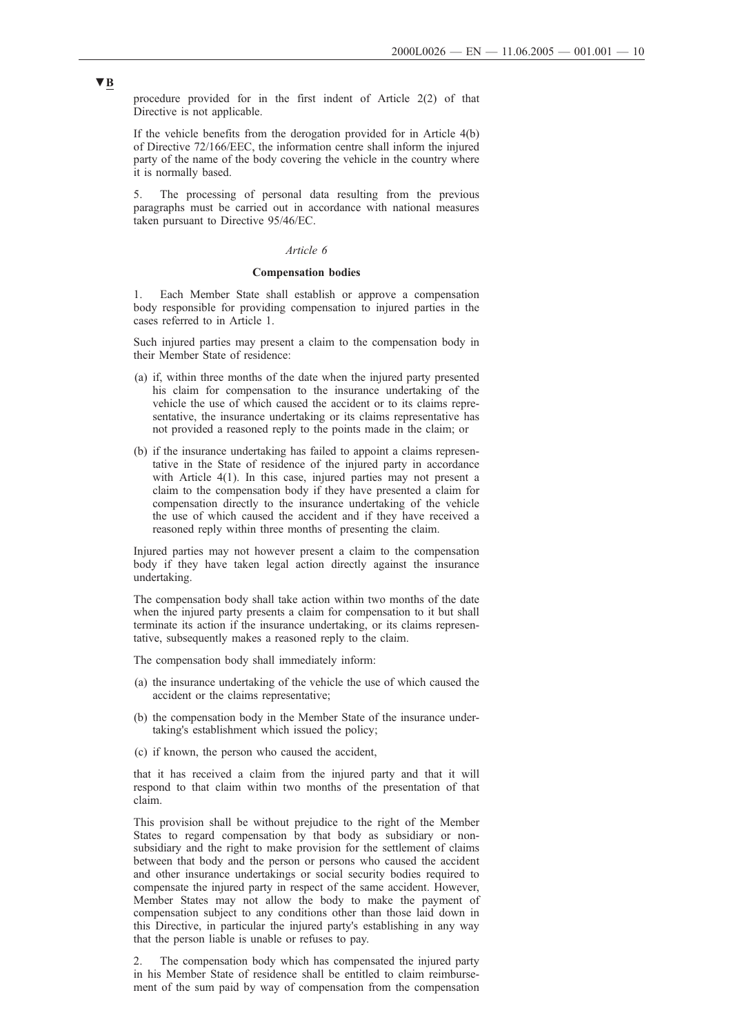procedure provided for in the first indent of Article 2(2) of that Directive is not applicable.

If the vehicle benefits from the derogation provided for in Article 4(b) of Directive 72/166/EEC, the information centre shall inform the injured party of the name of the body covering the vehicle in the country where it is normally based.

5. The processing of personal data resulting from the previous paragraphs must be carried out in accordance with national measures taken pursuant to Directive 95/46/EC.

### Article 6

#### **Compensation bodies**

1. Each Member State shall establish or approve a compensation body responsible for providing compensation to injured parties in the cases referred to in Article 1.

Such injured parties may present a claim to the compensation body in their Member State of residence:

- (a) if, within three months of the date when the injured party presented his claim for compensation to the insurance undertaking of the vehicle the use of which caused the accident or to its claims representative, the insurance undertaking or its claims representative has not provided a reasoned reply to the points made in the claim; or
- (b) if the insurance undertaking has failed to appoint a claims representative in the State of residence of the injured party in accordance with Article 4(1). In this case, injured parties may not present a claim to the compensation body if they have presented a claim for compensation directly to the insurance undertaking of the vehicle the use of which caused the accident and if they have received a reasoned reply within three months of presenting the claim.

Injured parties may not however present a claim to the compensation body if they have taken legal action directly against the insurance undertaking.

The compensation body shall take action within two months of the date when the injured party presents a claim for compensation to it but shall terminate its action if the insurance undertaking, or its claims representative, subsequently makes a reasoned reply to the claim.

The compensation body shall immediately inform:

- (a) the insurance undertaking of the vehicle the use of which caused the accident or the claims representative;
- (b) the compensation body in the Member State of the insurance undertaking's establishment which issued the policy;
- (c) if known, the person who caused the accident,

that it has received a claim from the injured party and that it will respond to that claim within two months of the presentation of that claim.

This provision shall be without prejudice to the right of the Member States to regard compensation by that body as subsidiary or nonsubsidiary and the right to make provision for the settlement of claims between that body and the person or persons who caused the accident and other insurance undertakings or social security bodies required to compensate the injured party in respect of the same accident. However, Member States may not allow the body to make the payment of compensation subject to any conditions other than those laid down in this Directive, in particular the injured party's establishing in any way that the person liable is unable or refuses to pay.

2. The compensation body which has compensated the injured party in his Member State of residence shall be entitled to claim reimbursement of the sum paid by way of compensation from the compensation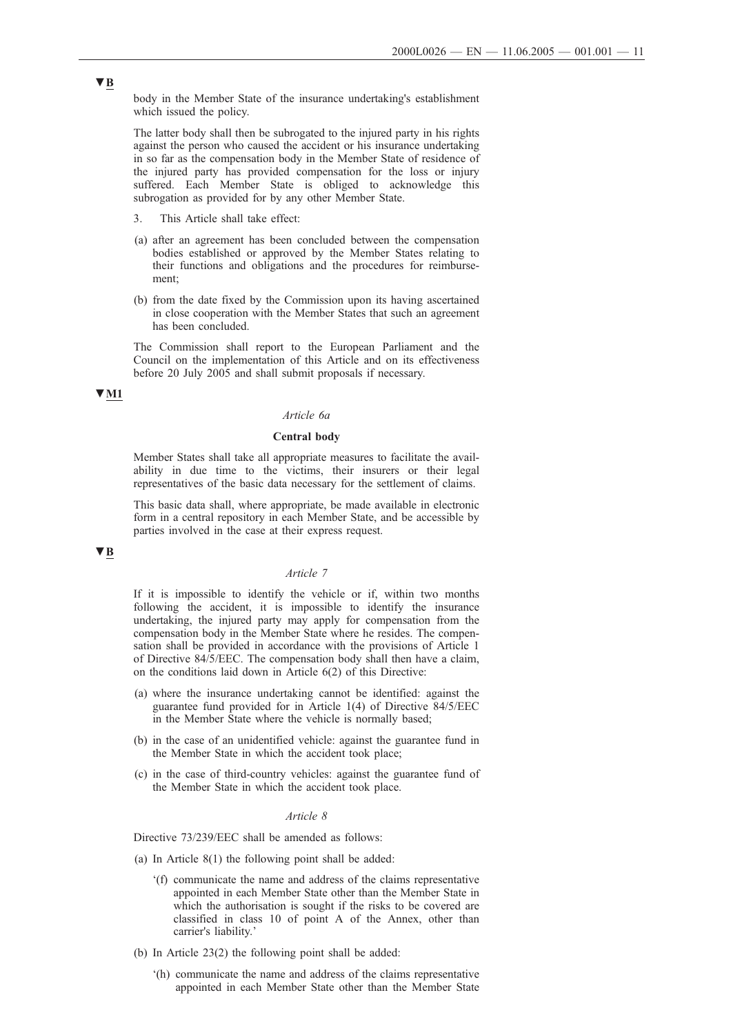body in the Member State of the insurance undertaking's establishment which issued the policy.

The latter body shall then be subrogated to the injured party in his rights against the person who caused the accident or his insurance undertaking in so far as the compensation body in the Member State of residence of the injured party has provided compensation for the loss or injury suffered. Each Member State is obliged to acknowledge this subrogation as provided for by any other Member State.

- 3. This Article shall take effect:
- (a) after an agreement has been concluded between the compensation bodies established or approved by the Member States relating to their functions and obligations and the procedures for reimbursement;
- (b) from the date fixed by the Commission upon its having ascertained in close cooperation with the Member States that such an agreement has been concluded.

The Commission shall report to the European Parliament and the Council on the implementation of this Article and on its effectiveness before 20 July 2005 and shall submit proposals if necessary.

# **▼M1**

### **Central body**

Member States shall take all appropriate measures to facilitate the availability in due time to the victims, their insurers or their legal representatives of the basic data necessary for the settlement of claims.

This basic data shall, where appropriate, be made available in electronic form in a central repository in each Member State, and be accessible by parties involved in the case at their express request.

#### **▼B**

If it is impossible to identify the vehicle or if, within two months following the accident, it is impossible to identify the insurance undertaking, the injured party may apply for compensation from the compensation body in the Member State where he resides. The compensation shall be provided in accordance with the provisions of Article 1 of Directive 84/5/EEC. The compensation body shall then have a claim, on the conditions laid down in Article 6(2) of this Directive:

- (a) where the insurance undertaking cannot be identified: against the guarantee fund provided for in Article 1(4) of Directive 84/5/EEC in the Member State where the vehicle is normally based;
- (b) in the case of an unidentified vehicle: against the guarantee fund in the Member State in which the accident took place;
- (c) in the case of third-country vehicles: against the guarantee fund of the Member State in which the accident took place.

#### $Article 8$

Directive 73/239/EEC shall be amended as follows:

- (a) In Article 8(1) the following point shall be added:
	- '(f) communicate the name and address of the claims representative appointed in each Member State other than the Member State in which the authorisation is sought if the risks to be covered are classified in class 10 of point A of the Annex, other than carrier's liability.'
- (b) In Article 23(2) the following point shall be added:
	- '(h) communicate the name and address of the claims representative appointed in each Member State other than the Member State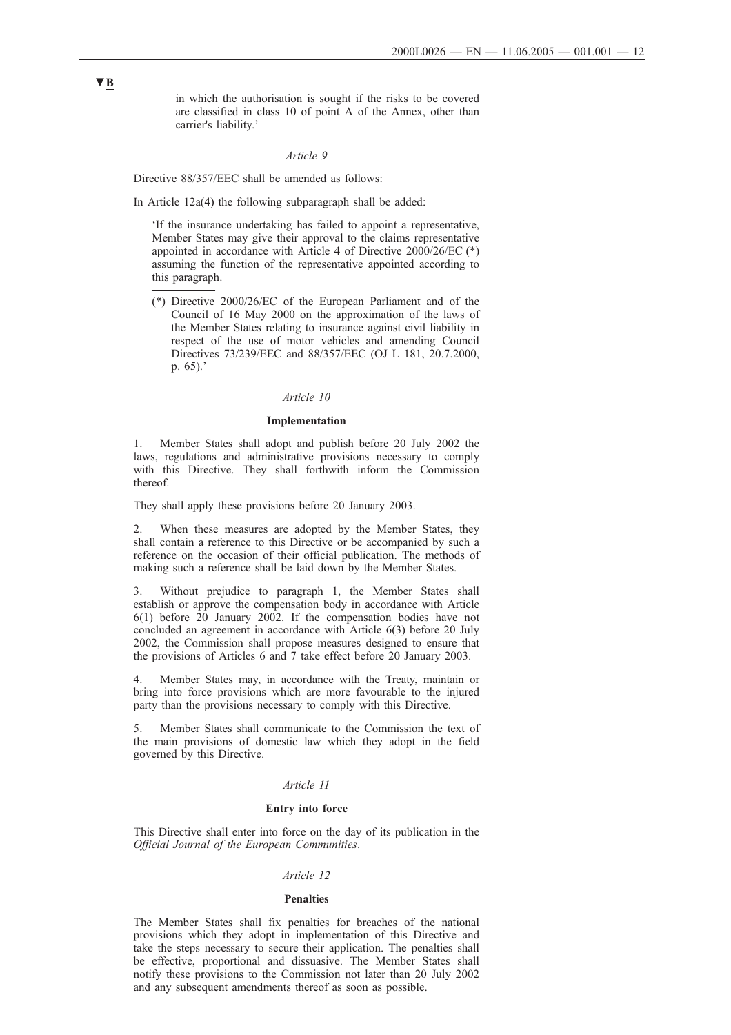in which the authorisation is sought if the risks to be covered are classified in class 10 of point A of the Annex, other than carrier's liability.'

Directive 88/357/EEC shall be amended as follows:

In Article 12a(4) the following subparagraph shall be added:

'If the insurance undertaking has failed to appoint a representative, Member States may give their approval to the claims representative appointed in accordance with Article 4 of Directive 2000/26/EC (\*) assuming the function of the representative appointed according to this paragraph.

(\*) Directive 2000/26/EC of the European Parliament and of the Council of 16 May 2000 on the approximation of the laws of the Member States relating to insurance against civil liability in respect of the use of motor vehicles and amending Council Directives 73/239/EEC and 88/357/EEC (OJ L 181, 20.7.2000, p. 65).'

#### **Implementation**

1. Member States shall adopt and publish before 20 July 2002 the laws, regulations and administrative provisions necessary to comply with this Directive. They shall forthwith inform the Commission thereof.

They shall apply these provisions before 20 January 2003.

2. When these measures are adopted by the Member States, they shall contain a reference to this Directive or be accompanied by such a reference on the occasion of their official publication. The methods of making such a reference shall be laid down by the Member States.

3. Without prejudice to paragraph 1, the Member States shall establish or approve the compensation body in accordance with Article 6(1) before 20 January 2002. If the compensation bodies have not concluded an agreement in accordance with Article 6(3) before 20 July 2002, the Commission shall propose measures designed to ensure that the provisions of Articles 6 and 7 take effect before 20 January 2003.

4. Member States may, in accordance with the Treaty, maintain or bring into force provisions which are more favourable to the injured party than the provisions necessary to comply with this Directive.

5. Member States shall communicate to the Commission the text of the main provisions of domestic law which they adopt in the field governed by this Directive.

#### **Entry into force**

This Directive shall enter into force on the day of its publication in the *Official Journal of the European Communities*.

### **Penalties**

The Member States shall fix penalties for breaches of the national provisions which they adopt in implementation of this Directive and take the steps necessary to secure their application. The penalties shall be effective, proportional and dissuasive. The Member States shall notify these provisions to the Commission not later than 20 July 2002 and any subsequent amendments thereof as soon as possible.